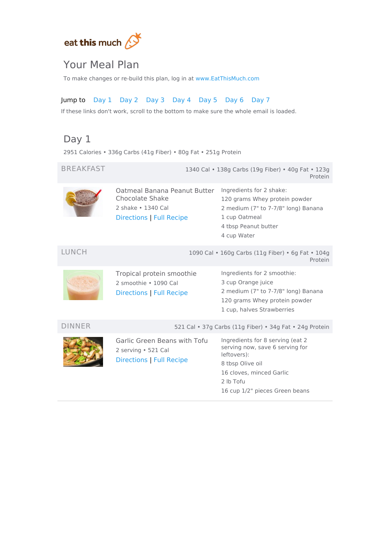

## Your Meal Plan

To make changes or re-build this plan, log in at [www.EatThisMuch.com](https://www.eatthismuch.com/)

### Jump to [Day](#page-0-0) 1 [Day](#page-1-0) 2 [Day](#page-1-1) 3 [Day](#page-2-0) 4 [Day](#page-3-0) 5 [Day](#page-4-0) 6 [Day](#page-5-0) 7

If these links don't work, scroll to the bottom to make sure the whole email is loaded.

## <span id="page-0-0"></span>Day 1

2951 Calories • 336g Carbs (41g Fiber) • 80g Fat • 251g Protein

| <b>BREAKFAST</b> | 1340 Cal • 138g Carbs (19g Fiber) • 40g Fat • 123g<br>Protein                                     |                                                                                                                                                                                   |  |
|------------------|---------------------------------------------------------------------------------------------------|-----------------------------------------------------------------------------------------------------------------------------------------------------------------------------------|--|
|                  | Oatmeal Banana Peanut Butter<br>Chocolate Shake<br>2 shake • 1340 Cal<br>Directions   Full Recipe | Ingredients for 2 shake:<br>120 grams Whey protein powder<br>2 medium (7" to 7-7/8" long) Banana<br>1 cup Oatmeal<br>4 tbsp Peanut butter<br>4 cup Water                          |  |
| LUNCH            |                                                                                                   | 1090 Cal . 160g Carbs (11g Fiber) . 6g Fat . 104g<br>Protein                                                                                                                      |  |
|                  | Tropical protein smoothie<br>2 smoothie . 1090 Cal<br>Directions   Full Recipe                    | Ingredients for 2 smoothie:<br>3 cup Orange juice<br>2 medium (7" to 7-7/8" long) Banana<br>120 grams Whey protein powder<br>1 cup, halves Strawberries                           |  |
| DINNER           | 521 Cal • 37g Carbs (11g Fiber) • 34g Fat • 24g Protein                                           |                                                                                                                                                                                   |  |
|                  | Garlic Green Beans with Tofu<br>2 serving . 521 Cal<br><b>Directions   Full Recipe</b>            | Ingredients for 8 serving (eat 2<br>serving now, save 6 serving for<br>leftovers):<br>8 tbsp Olive oil<br>16 cloves, minced Garlic<br>2 lb Tofu<br>16 cup 1/2" pieces Green beans |  |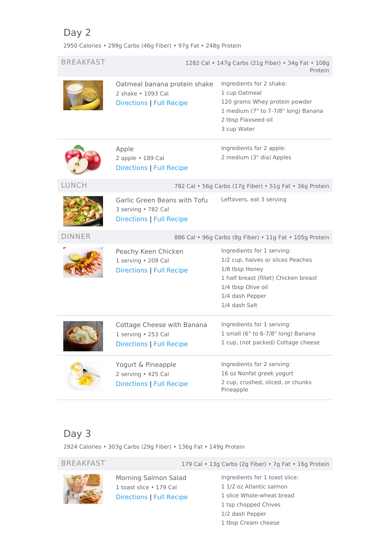# <span id="page-1-0"></span>Day 2

2950 Calories • 299g Carbs (46g Fiber) • 97g Fat • 248g Protein

| <b>BREAKFAST</b><br>1282 Cal • 147g Carbs (21g Fiber) • 34g Fat • 108g<br>Protein<br>Ingredients for 2 shake:<br>Oatmeal banana protein shake<br>1 cup Oatmeal<br>2 shake • 1093 Cal<br>120 grams Whey protein powder<br><b>Directions   Full Recipe</b><br>1 medium (7" to 7-7/8" long) Banana<br>2 tbsp Flaxseed oil<br>3 cup Water<br>Ingredients for 2 apple:<br>Apple<br>2 medium (3" dia) Apples<br>2 apple . 189 Cal<br>Directions   Full Recipe<br><b>LUNCH</b><br>782 Cal • 56g Carbs (17g Fiber) • 51g Fat • 36g Protein<br>Leftovers, eat 3 serving<br>Garlic Green Beans with Tofu<br>3 serving • 782 Cal<br>Directions   Full Recipe<br><b>DINNER</b><br>886 Cal · 96g Carbs (8g Fiber) · 11g Fat · 105g Protein<br>Ingredients for 1 serving:<br>Peachy Keen Chicken<br>1/2 cup, halves or slices Peaches<br>1 serving . 209 Cal<br>1/8 tbsp Honey<br>Directions   Full Recipe<br>1 half breast (fillet) Chicken breast<br>1/4 tbsp Olive oil<br>1/4 dash Pepper<br>1/4 dash Salt<br>Ingredients for 1 serving:<br>Cottage Cheese with Banana<br>1 small (6" to 6-7/8" long) Banana<br>1 serving · 253 Cal<br>1 cup, (not packed) Cottage cheese<br>Directions   Full Recipe<br>Ingredients for 2 serving:<br>Yogurt & Pineapple<br>16 oz Nonfat greek yogurt<br>2 serving · 425 Cal<br>2 cup, crushed, sliced, or chunks<br><b>Directions   Full Recipe</b><br>Pineapple |  |  |  |
|-----------------------------------------------------------------------------------------------------------------------------------------------------------------------------------------------------------------------------------------------------------------------------------------------------------------------------------------------------------------------------------------------------------------------------------------------------------------------------------------------------------------------------------------------------------------------------------------------------------------------------------------------------------------------------------------------------------------------------------------------------------------------------------------------------------------------------------------------------------------------------------------------------------------------------------------------------------------------------------------------------------------------------------------------------------------------------------------------------------------------------------------------------------------------------------------------------------------------------------------------------------------------------------------------------------------------------------------------------------------------------------------|--|--|--|
|                                                                                                                                                                                                                                                                                                                                                                                                                                                                                                                                                                                                                                                                                                                                                                                                                                                                                                                                                                                                                                                                                                                                                                                                                                                                                                                                                                                         |  |  |  |
|                                                                                                                                                                                                                                                                                                                                                                                                                                                                                                                                                                                                                                                                                                                                                                                                                                                                                                                                                                                                                                                                                                                                                                                                                                                                                                                                                                                         |  |  |  |
|                                                                                                                                                                                                                                                                                                                                                                                                                                                                                                                                                                                                                                                                                                                                                                                                                                                                                                                                                                                                                                                                                                                                                                                                                                                                                                                                                                                         |  |  |  |
|                                                                                                                                                                                                                                                                                                                                                                                                                                                                                                                                                                                                                                                                                                                                                                                                                                                                                                                                                                                                                                                                                                                                                                                                                                                                                                                                                                                         |  |  |  |
|                                                                                                                                                                                                                                                                                                                                                                                                                                                                                                                                                                                                                                                                                                                                                                                                                                                                                                                                                                                                                                                                                                                                                                                                                                                                                                                                                                                         |  |  |  |
|                                                                                                                                                                                                                                                                                                                                                                                                                                                                                                                                                                                                                                                                                                                                                                                                                                                                                                                                                                                                                                                                                                                                                                                                                                                                                                                                                                                         |  |  |  |
|                                                                                                                                                                                                                                                                                                                                                                                                                                                                                                                                                                                                                                                                                                                                                                                                                                                                                                                                                                                                                                                                                                                                                                                                                                                                                                                                                                                         |  |  |  |
|                                                                                                                                                                                                                                                                                                                                                                                                                                                                                                                                                                                                                                                                                                                                                                                                                                                                                                                                                                                                                                                                                                                                                                                                                                                                                                                                                                                         |  |  |  |
|                                                                                                                                                                                                                                                                                                                                                                                                                                                                                                                                                                                                                                                                                                                                                                                                                                                                                                                                                                                                                                                                                                                                                                                                                                                                                                                                                                                         |  |  |  |

## <span id="page-1-1"></span>Day 3

2924 Calories • 303g Carbs (29g Fiber) • 136g Fat • 149g Protein



Morning Salmon Salad 1 toast slice • 179 Cal [Directions](#page-6-6) | Full [Recipe](https://www.eatthismuch.com/recipe/view/morning-salmon-salad,35039/)

BREAKFAST 179 Cal • 13g Carbs (2g Fiber) • 7g Fat • 16g Protein

Ingredients for 1 toast slice: 1/2 oz Atlantic salmon slice Whole-wheat bread tsp chopped Chives 1/2 dash Pepper tbsp Cream cheese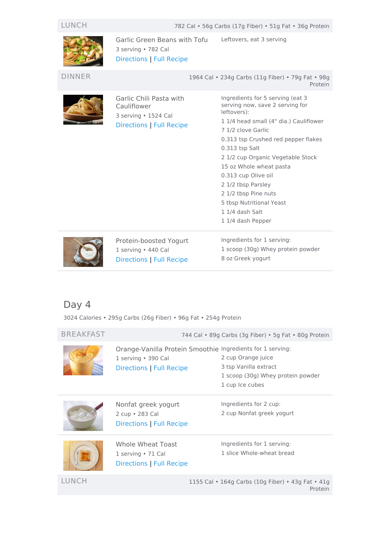

Garlic Green Beans with Tofu 3 serving • 782 Cal [Directions](#page-6-0) | Full [Recipe](https://www.eatthismuch.com/recipe/view/garlic-green-beans-with-tofu,34875/) Leftovers, eat 3 serving

DINNER 1964 Cal • 234g Carbs (11g Fiber) • 79g Fat • 98g



Garlic Chili Pasta with Cauliflower 3 serving • 1524 Cal [Directions](#page-7-0) | Full [Recipe](https://www.eatthismuch.com/recipe/view/garlic-chili-pasta-with-cauliflower,380388/)

Protein Ingredients for 5 serving (eat 3 serving now, save 2 serving for leftovers): 1 1/4 head small (4" dia.) Cauliflower 7 1/2 clove Garlic 0.313 tsp Crushed red pepper flakes 0.313 tsp Salt 2 1/2 cup Organic Vegetable Stock 15 oz Whole wheat pasta 0.313 cup Olive oil 2 1/2 tbsp Parsley 2 1/2 tbsp Pine nuts 5 tbsp Nutritional Yeast 1 1/4 dash Salt 1 1/4 dash Pepper



Protein-boosted Yogurt 1 serving • 440 Cal [Directions](#page-7-1) | Full [Recipe](https://www.eatthismuch.com/recipe/view/protein-boosted-yogurt,334483/)

Ingredients for 1 serving: 1 scoop (30g) Whey protein powder 8 oz Greek yogurt

## <span id="page-2-0"></span>Day 4

3024 Calories • 295g Carbs (26g Fiber) • 96g Fat • 254g Protein

| <b>BREAKFAST</b> | 744 Cal • 89g Carbs (3g Fiber) • 5g Fat • 80g Protein                                                                |                                                                                                     |  |
|------------------|----------------------------------------------------------------------------------------------------------------------|-----------------------------------------------------------------------------------------------------|--|
|                  | Orange-Vanilla Protein Smoothie Ingredients for 1 serving:<br>1 serving • 390 Cal<br><b>Directions   Full Recipe</b> | 2 cup Orange juice<br>3 tsp Vanilla extract<br>1 scoop (30g) Whey protein powder<br>1 cup Ice cubes |  |
|                  | Nonfat greek yogurt<br>2 cup • 283 Cal<br><b>Directions   Full Recipe</b>                                            | Ingredients for 2 cup:<br>2 cup Nonfat greek yogurt                                                 |  |
|                  | Whole Wheat Toast<br>1 serving $\cdot$ 71 Cal<br><b>Directions   Full Recipe</b>                                     | Ingredients for 1 serving:<br>1 slice Whole-wheat bread                                             |  |

LUNCH 1155 Cal • 164g Carbs (10g Fiber) • 43g Fat • 41g Protein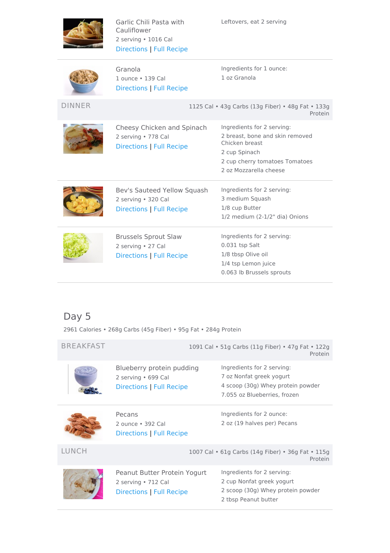

Garlic Chili Pasta with Cauliflower 2 serving • 1016 Cal [Directions](#page-7-0) | Full [Recipe](https://www.eatthismuch.com/recipe/view/garlic-chili-pasta-with-cauliflower,380388/)

Leftovers, eat 2 serving

|--|--|--|--|--|--|

DINNER

| Granola<br>1 ounce • 139 Cal<br>Directions   Full Recipe                       | Ingredients for 1 ounce:<br>1 oz Granola                                                                                                                     |
|--------------------------------------------------------------------------------|--------------------------------------------------------------------------------------------------------------------------------------------------------------|
|                                                                                | 1125 Cal • 43g Carbs (13g Fiber) • 48g Fat • 133g<br>Protein                                                                                                 |
| Cheesy Chicken and Spinach<br>2 serving • 778 Cal<br>Directions   Full Recipe  | Ingredients for 2 serving:<br>2 breast, bone and skin removed<br>Chicken breast<br>2 cup Spinach<br>2 cup cherry tomatoes Tomatoes<br>2 oz Mozzarella cheese |
| Bev's Sauteed Yellow Squash<br>2 serving · 320 Cal<br>Directions   Full Recipe | Ingredients for 2 serving:<br>3 medium Squash<br>1/8 cup Butter<br>1/2 medium (2-1/2" dia) Onions                                                            |
| <b>Brussels Sprout Slaw</b><br>2 serving • 27 Cal<br>Directions   Full Recipe  | Ingredients for 2 serving:<br>0.031 tsp Salt<br>1/8 tbsp Olive oil<br>1/4 tsp Lemon juice<br>0.063 lb Brussels sprouts                                       |

# <span id="page-3-0"></span>Day 5

2961 Calories • 268g Carbs (45g Fiber) • 95g Fat • 284g Protein

| <b>BREAKFAST</b> | 1091 Cal • 51g Carbs (11g Fiber) • 47g Fat • 122g<br>Protein                           |                                                                                                                             |
|------------------|----------------------------------------------------------------------------------------|-----------------------------------------------------------------------------------------------------------------------------|
|                  | Blueberry protein pudding<br>2 serving • 699 Cal<br>Directions   Full Recipe           | Ingredients for 2 serving:<br>7 oz Nonfat greek yogurt<br>4 scoop (30g) Whey protein powder<br>7.055 oz Blueberries, frozen |
|                  | Pecans<br>2 ounce • 392 Cal<br>Directions   Full Recipe                                | Ingredients for 2 ounce:<br>2 oz (19 halves per) Pecans                                                                     |
| LUNCH            |                                                                                        | 1007 Cal • 61g Carbs (14g Fiber) • 36g Fat • 115g<br>Protein                                                                |
|                  | Peanut Butter Protein Yogurt<br>2 serving • 712 Cal<br><b>Directions   Full Recipe</b> | Ingredients for 2 serving:<br>2 cup Nonfat greek yogurt<br>2 scoop (30g) Whey protein powder<br>2 tbsp Peanut butter        |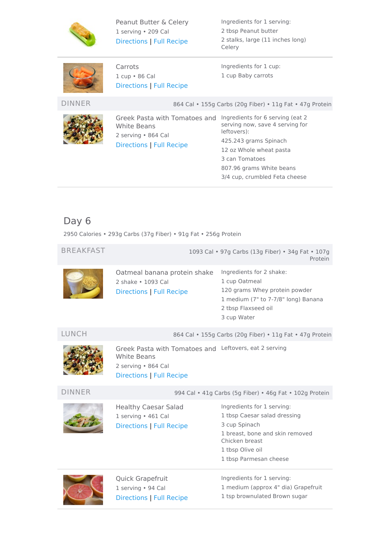

Peanut Butter & Celery 1 serving • 209 Cal [Directions](#page-8-4) | Full [Recipe](https://www.eatthismuch.com/recipe/view/peanut-butter-celery,34219/)

Ingredients for 1 serving: 2 tbsp Peanut butter 2 stalks, large (11 inches long) Celery



Carrots 1 cup • 86 Cal [Directions](#page-8-5) | Full [Recipe](https://www.eatthismuch.com/recipe/view/carrots,478666/) Ingredients for 1 cup: 1 cup Baby carrots

DINNER 864 Cal • 155g Carbs (20g Fiber) • 11g Fat • 47g Protein



Greek Pasta with Tomatoes and Ingredients for 6 serving (eat 2 White Beans 2 serving • 864 Cal [Directions](#page-8-6) | Full [Recipe](https://www.eatthismuch.com/recipe/view/greek-pasta-with-tomatoes-and-white-beans,45271/)

serving now, save 4 serving for leftovers): 425.243 grams Spinach 12 oz Whole wheat pasta 3 can Tomatoes 807.96 grams White beans 3/4 cup, crumbled Feta cheese

# <span id="page-4-0"></span>Day 6

2950 Calories • 293g Carbs (37g Fiber) • 91g Fat • 256g Protein

| <b>BREAKFAST</b> |                                                                                                                                        | 1093 Cal • 97g Carbs (13g Fiber) • 34g Fat • 107g<br>Protein                                                                                                                   |
|------------------|----------------------------------------------------------------------------------------------------------------------------------------|--------------------------------------------------------------------------------------------------------------------------------------------------------------------------------|
|                  | Oatmeal banana protein shake<br>2 shake . 1093 Cal<br><b>Directions   Full Recipe</b>                                                  | Ingredients for 2 shake:<br>1 cup Oatmeal<br>120 grams Whey protein powder<br>1 medium (7" to 7-7/8" long) Banana<br>2 tbsp Flaxseed oil<br>3 cup Water                        |
| LUNCH            |                                                                                                                                        | 864 Cal • 155g Carbs (20g Fiber) • 11g Fat • 47g Protein                                                                                                                       |
|                  | Greek Pasta with Tomatoes and Leftovers, eat 2 serving<br><b>White Beans</b><br>2 serving • 864 Cal<br><b>Directions   Full Recipe</b> |                                                                                                                                                                                |
| <b>DINNER</b>    |                                                                                                                                        | 994 Cal . 41g Carbs (5g Fiber) . 46g Fat . 102g Protein                                                                                                                        |
|                  | <b>Healthy Caesar Salad</b><br>1 serving · 461 Cal<br><b>Directions   Full Recipe</b>                                                  | Ingredients for 1 serving:<br>1 tbsp Caesar salad dressing<br>3 cup Spinach<br>1 breast, bone and skin removed<br>Chicken breast<br>1 tbsp Olive oil<br>1 tbsp Parmesan cheese |
|                  | Quick Grapefruit<br>1 serving · 94 Cal<br><b>Directions   Full Recipe</b>                                                              | Ingredients for 1 serving:<br>1 medium (approx 4" dia) Grapefruit<br>1 tsp brownulated Brown sugar                                                                             |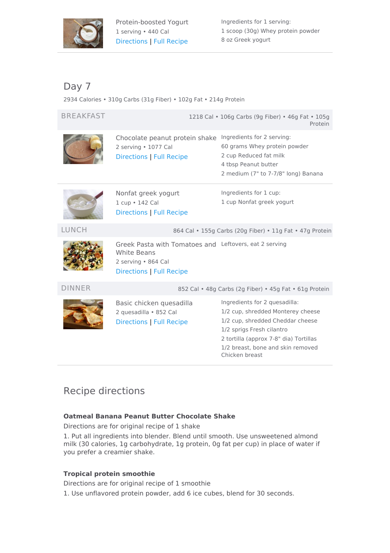

Ingredients for 1 serving: 1 scoop (30g) Whey protein powder 8 oz Greek yogurt

## <span id="page-5-0"></span>Day 7

2934 Calories • 310g Carbs (31g Fiber) • 102g Fat • 214g Protein

BREAKFAST 1218 Cal • 106g Carbs (9g Fiber) • 46g Fat • 105g Protein



Chocolate peanut protein shake Ingredients for 2 serving: 2 serving • 1077 Cal [Directions](#page-9-2) | Full [Recipe](https://www.eatthismuch.com/recipe/view/chocolate-peanut-protein-shake,33547/)

 grams Whey protein powder cup Reduced fat milk tbsp Peanut butter medium (7" to 7-7/8" long) Banana



Nonfat greek yogurt 1 cup • 142 Cal [Directions](#page-7-3) | Full [Recipe](https://www.eatthismuch.com/recipe/view/nonfat-greek-yogurt,532933/) Ingredients for 1 cup: 1 cup Nonfat greek yogurt

LUNCH 864 Cal • 155g Carbs (20g Fiber) • 11g Fat • 47g Protein



Greek Pasta with Tomatoes and Leftovers, eat 2 serving White Beans 2 serving • 864 Cal [Directions](#page-8-6) | Full [Recipe](https://www.eatthismuch.com/recipe/view/greek-pasta-with-tomatoes-and-white-beans,45271/)

DINNER 852 Cal • 48g Carbs (2g Fiber) • 45g Fat • 61g Protein



Basic chicken quesadilla 2 quesadilla • 852 Cal [Directions](#page-9-3) | Full [Recipe](https://www.eatthismuch.com/recipe/view/basic-chicken-quesadilla,34084/)

Ingredients for 2 quesadilla: 1/2 cup, shredded Monterey cheese 1/2 cup, shredded Cheddar cheese 1/2 sprigs Fresh cilantro 2 tortilla (approx 7-8" dia) Tortillas 1/2 breast, bone and skin removed Chicken breast

# Recipe directions

### <span id="page-5-1"></span>**Oatmeal Banana Peanut Butter Chocolate Shake**

Directions are for original recipe of 1 shake

1. Put all ingredients into blender. Blend until smooth. Use unsweetened almond milk (30 calories, 1g carbohydrate, 1g protein, 0g fat per cup) in place of water if you prefer a creamier shake.

### <span id="page-5-2"></span>**Tropical protein smoothie**

Directions are for original recipe of 1 smoothie

1. Use unflavored protein powder, add 6 ice cubes, blend for 30 seconds.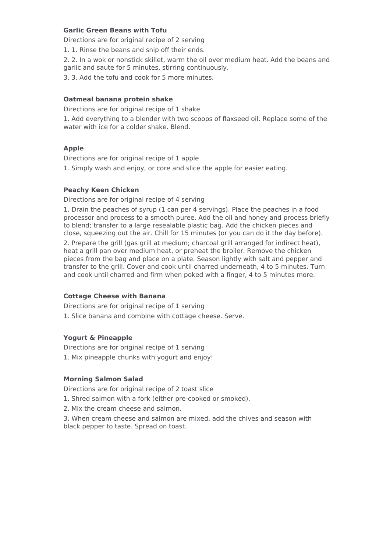#### <span id="page-6-0"></span>**Garlic Green Beans with Tofu**

Directions are for original recipe of 2 serving

1. 1. Rinse the beans and snip off their ends.

2. 2. In a wok or nonstick skillet, warm the oil over medium heat. Add the beans and garlic and saute for 5 minutes, stirring continuously.

3. 3. Add the tofu and cook for 5 more minutes.

#### <span id="page-6-1"></span>**Oatmeal banana protein shake**

Directions are for original recipe of 1 shake

1. Add everything to a blender with two scoops of flaxseed oil. Replace some of the water with ice for a colder shake. Blend.

#### <span id="page-6-2"></span>**Apple**

Directions are for original recipe of 1 apple

1. Simply wash and enjoy, or core and slice the apple for easier eating.

#### <span id="page-6-3"></span>**Peachy Keen Chicken**

Directions are for original recipe of 4 serving

1. Drain the peaches of syrup (1 can per 4 servings). Place the peaches in a food processor and process to a smooth puree. Add the oil and honey and process briefly to blend; transfer to a large resealable plastic bag. Add the chicken pieces and close, squeezing out the air. Chill for 15 minutes (or you can do it the day before).

2. Prepare the grill (gas grill at medium; charcoal grill arranged for indirect heat), heat a grill pan over medium heat, or preheat the broiler. Remove the chicken pieces from the bag and place on a plate. Season lightly with salt and pepper and transfer to the grill. Cover and cook until charred underneath, 4 to 5 minutes. Turn and cook until charred and firm when poked with a finger, 4 to 5 minutes more.

#### <span id="page-6-4"></span>**Cottage Cheese with Banana**

Directions are for original recipe of 1 serving 1. Slice banana and combine with cottage cheese. Serve.

#### <span id="page-6-5"></span>**Yogurt & Pineapple**

Directions are for original recipe of 1 serving 1. Mix pineapple chunks with yogurt and enjoy!

#### <span id="page-6-6"></span>**Morning Salmon Salad**

Directions are for original recipe of 2 toast slice

- 1. Shred salmon with a fork (either pre-cooked or smoked).
- 2. Mix the cream cheese and salmon.

3. When cream cheese and salmon are mixed, add the chives and season with black pepper to taste. Spread on toast.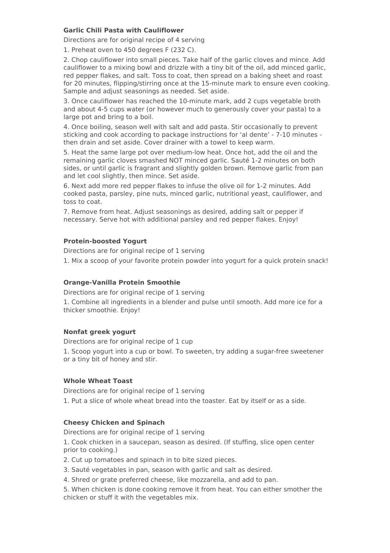#### <span id="page-7-0"></span>**Garlic Chili Pasta with Cauliflower**

Directions are for original recipe of 4 serving

1. Preheat oven to 450 degrees F (232 C).

2. Chop cauliflower into small pieces. Take half of the garlic cloves and mince. Add cauliflower to a mixing bowl and drizzle with a tiny bit of the oil, add minced garlic, red pepper flakes, and salt. Toss to coat, then spread on a baking sheet and roast for 20 minutes, flipping/stirring once at the 15-minute mark to ensure even cooking. Sample and adjust seasonings as needed. Set aside.

3. Once cauliflower has reached the 10-minute mark, add 2 cups vegetable broth and about 4-5 cups water (or however much to generously cover your pasta) to a large pot and bring to a boil.

4. Once boiling, season well with salt and add pasta. Stir occasionally to prevent sticking and cook according to package instructions for 'al dente' - 7-10 minutes then drain and set aside. Cover drainer with a towel to keep warm.

5. Heat the same large pot over medium-low heat. Once hot, add the oil and the remaining garlic cloves smashed NOT minced garlic. Sauté 1-2 minutes on both sides, or until garlic is fragrant and slightly golden brown. Remove garlic from pan and let cool slightly, then mince. Set aside.

6. Next add more red pepper flakes to infuse the olive oil for 1-2 minutes. Add cooked pasta, parsley, pine nuts, minced garlic, nutritional yeast, cauliflower, and toss to coat.

7. Remove from heat. Adjust seasonings as desired, adding salt or pepper if necessary. Serve hot with additional parsley and red pepper flakes. Enjoy!

#### <span id="page-7-1"></span>**Protein-boosted Yogurt**

Directions are for original recipe of 1 serving 1. Mix a scoop of your favorite protein powder into yogurt for a quick protein snack!

#### <span id="page-7-2"></span>**Orange-Vanilla Protein Smoothie**

Directions are for original recipe of 1 serving

1. Combine all ingredients in a blender and pulse until smooth. Add more ice for a thicker smoothie. Enjoy!

#### <span id="page-7-3"></span>**Nonfat greek yogurt**

Directions are for original recipe of 1 cup

1. Scoop yogurt into a cup or bowl. To sweeten, try adding a sugar-free sweetener or a tiny bit of honey and stir.

#### <span id="page-7-4"></span>**Whole Wheat Toast**

Directions are for original recipe of 1 serving

1. Put a slice of whole wheat bread into the toaster. Eat by itself or as a side.

#### <span id="page-7-5"></span>**Cheesy Chicken and Spinach**

Directions are for original recipe of 1 serving

1. Cook chicken in a saucepan, season as desired. (If stuffing, slice open center prior to cooking.)

2. Cut up tomatoes and spinach in to bite sized pieces.

- 3. Sauté vegetables in pan, season with garlic and salt as desired.
- 4. Shred or grate preferred cheese, like mozzarella, and add to pan.

5. When chicken is done cooking remove it from heat. You can either smother the chicken or stuff it with the vegetables mix.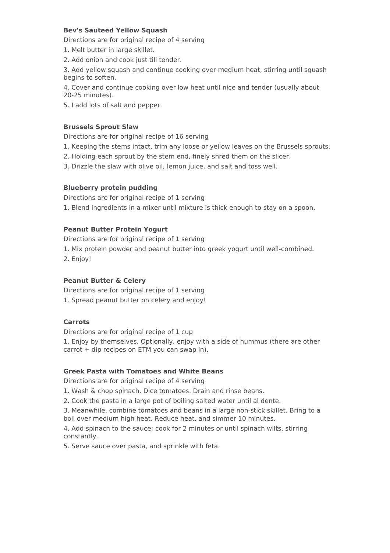#### <span id="page-8-0"></span>**Bev's Sauteed Yellow Squash**

Directions are for original recipe of 4 serving

- 1. Melt butter in large skillet.
- 2. Add onion and cook just till tender.

3. Add yellow squash and continue cooking over medium heat, stirring until squash begins to soften.

4. Cover and continue cooking over low heat until nice and tender (usually about 20-25 minutes).

5. I add lots of salt and pepper.

#### <span id="page-8-1"></span>**Brussels Sprout Slaw**

Directions are for original recipe of 16 serving

- 1. Keeping the stems intact, trim any loose or yellow leaves on the Brussels sprouts.
- 2. Holding each sprout by the stem end, finely shred them on the slicer.
- 3. Drizzle the slaw with olive oil, lemon juice, and salt and toss well.

#### <span id="page-8-2"></span>**Blueberry protein pudding**

Directions are for original recipe of 1 serving

1. Blend ingredients in a mixer until mixture is thick enough to stay on a spoon.

#### <span id="page-8-3"></span>**Peanut Butter Protein Yogurt**

Directions are for original recipe of 1 serving

- 1. Mix protein powder and peanut butter into greek yogurt until well-combined.
- 2. Enjoy!

#### <span id="page-8-4"></span>**Peanut Butter & Celery**

Directions are for original recipe of 1 serving

1. Spread peanut butter on celery and enjoy!

#### <span id="page-8-5"></span>**Carrots**

Directions are for original recipe of 1 cup

1. Enjoy by themselves. Optionally, enjoy with a side of hummus (there are other carrot + dip recipes on ETM you can swap in).

#### <span id="page-8-6"></span>**Greek Pasta with Tomatoes and White Beans**

Directions are for original recipe of 4 serving

- 1. Wash & chop spinach. Dice tomatoes. Drain and rinse beans.
- 2. Cook the pasta in a large pot of boiling salted water until al dente.

3. Meanwhile, combine tomatoes and beans in a large non-stick skillet. Bring to a boil over medium high heat. Reduce heat, and simmer 10 minutes.

4. Add spinach to the sauce; cook for 2 minutes or until spinach wilts, stirring constantly.

5. Serve sauce over pasta, and sprinkle with feta.